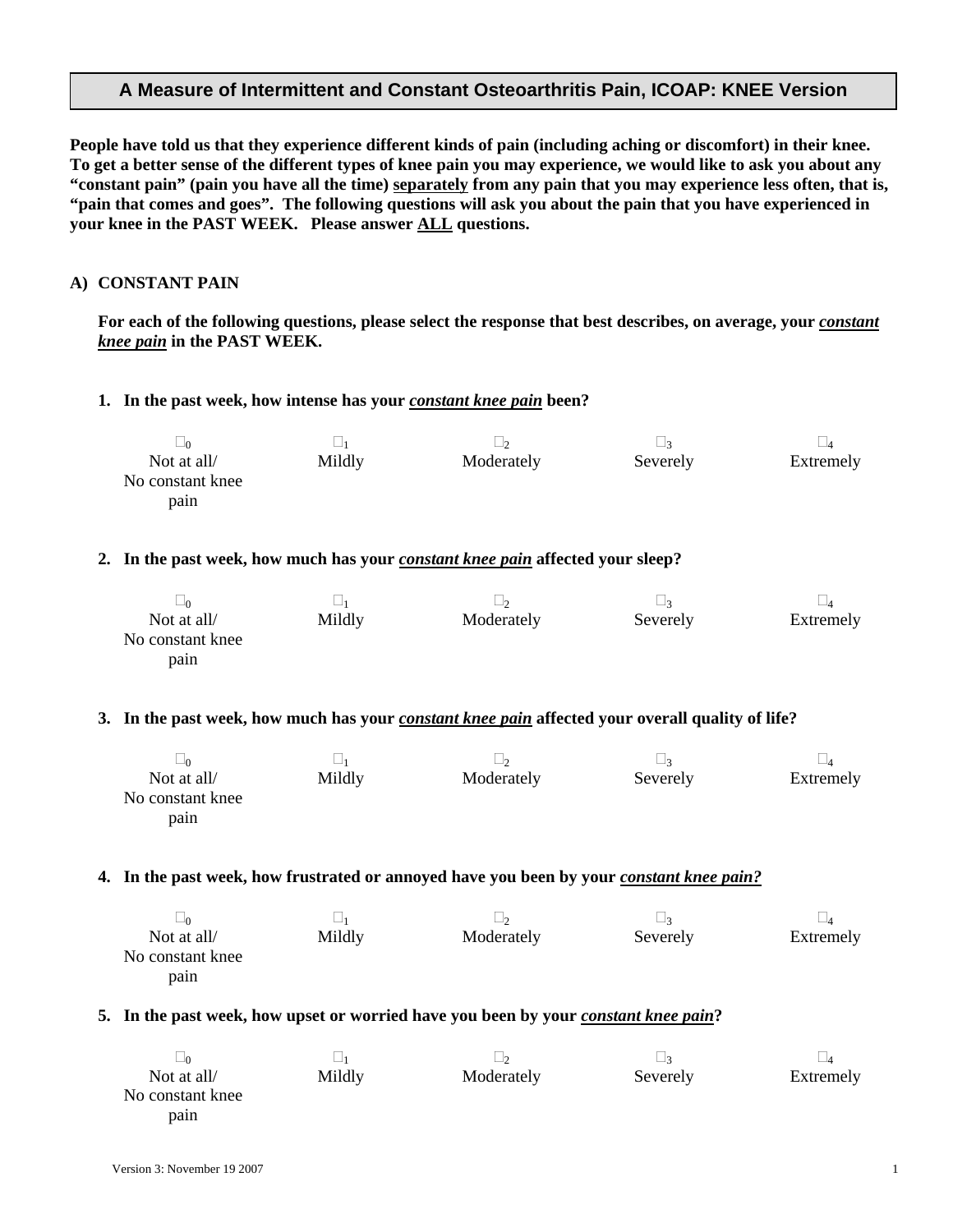### **A Measure of Intermittent and Constant Osteoarthritis Pain, ICOAP: KNEE Version**

**People have told us that they experience different kinds of pain (including aching or discomfort) in their knee. To get a better sense of the different types of knee pain you may experience, we would like to ask you about any "constant pain" (pain you have all the time) separately from any pain that you may experience less often, that is, "pain that comes and goes". The following questions will ask you about the pain that you have experienced in your knee in the PAST WEEK. Please answer ALL questions.** 

### **A) CONSTANT PAIN**

 $\overline{a}$ 

For each of the following questions, please select the response that best describes, on average, your *constant knee pain* **in the PAST WEEK.** 

#### **1. In the past week, how intense has your** *constant knee pain* **been?**

| $\square_0$<br>Not at all/<br>No constant knee<br>pain                                                  | $\square_1$<br>Mildly | $\square_2$<br>Moderately | $\square_3$<br>Severely | $\square_4$<br>Extremely |  |  |
|---------------------------------------------------------------------------------------------------------|-----------------------|---------------------------|-------------------------|--------------------------|--|--|
| 2. In the past week, how much has your <i>constant knee pain</i> affected your sleep?                   |                       |                           |                         |                          |  |  |
| $\square_0$<br>Not at all/<br>No constant knee<br>pain                                                  | $\square_1$<br>Mildly | $\square_2$<br>Moderately | $\square_3$<br>Severely | $\square_4$<br>Extremely |  |  |
| 3. In the past week, how much has your <i>constant knee pain</i> affected your overall quality of life? |                       |                           |                         |                          |  |  |
| $\square_0$<br>Not at all/<br>No constant knee<br>pain                                                  | $\square_1$<br>Mildly | $\square_2$<br>Moderately | $\square_3$<br>Severely | $\square_4$<br>Extremely |  |  |
| 4. In the past week, how frustrated or annoyed have you been by your <i>constant knee pain?</i>         |                       |                           |                         |                          |  |  |
| $\square_0$<br>Not at all/<br>No constant knee<br>pain                                                  | $\square_1$<br>Mildly | $\square_2$<br>Moderately | $\square_3$<br>Severely | $\square_4$<br>Extremely |  |  |
| 5. In the past week, how upset or worried have you been by your <i>constant knee pain</i> ?             |                       |                           |                         |                          |  |  |
| $\square_0$<br>Not at all/<br>No constant knee                                                          | $\square_1$<br>Mildly | $\square_2$<br>Moderately | $\square_3$<br>Severely | $\square_4$<br>Extremely |  |  |

pain